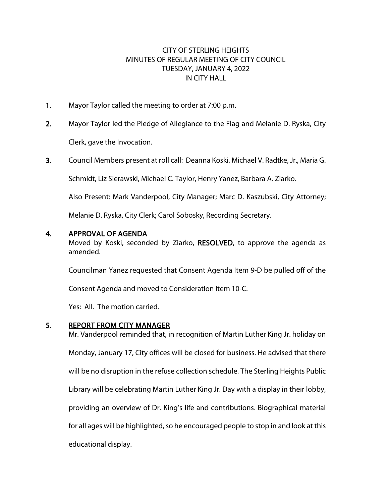## CITY OF STERLING HEIGHTS MINUTES OF REGULAR MEETING OF CITY COUNCIL TUESDAY, JANUARY 4, 2022 IN CITY HALL

- 1. Mayor Taylor called the meeting to order at 7:00 p.m.
- 2. Mayor Taylor led the Pledge of Allegiance to the Flag and Melanie D. Ryska, City Clerk, gave the Invocation.
- 3. Council Members present at roll call: Deanna Koski, Michael V. Radtke, Jr., Maria G.

Schmidt, Liz Sierawski, Michael C. Taylor, Henry Yanez, Barbara A. Ziarko.

Also Present: Mark Vanderpool, City Manager; Marc D. Kaszubski, City Attorney;

Melanie D. Ryska, City Clerk; Carol Sobosky, Recording Secretary.

### 4. APPROVAL OF AGENDA

Moved by Koski, seconded by Ziarko, RESOLVED, to approve the agenda as amended.

Councilman Yanez requested that Consent Agenda Item 9-D be pulled off of the

Consent Agenda and moved to Consideration Item 10-C.

Yes: All. The motion carried.

### 5. REPORT FROM CITY MANAGER

Mr. Vanderpool reminded that, in recognition of Martin Luther King Jr. holiday on Monday, January 17, City offices will be closed for business. He advised that there will be no disruption in the refuse collection schedule. The Sterling Heights Public Library will be celebrating Martin Luther King Jr. Day with a display in their lobby, providing an overview of Dr. King's life and contributions. Biographical material for all ages will be highlighted, so he encouraged people to stop in and look at this educational display.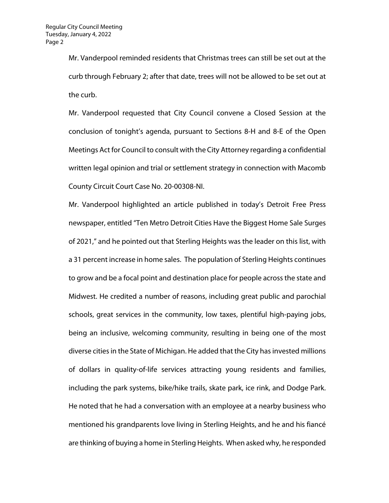Mr. Vanderpool reminded residents that Christmas trees can still be set out at the curb through February 2; after that date, trees will not be allowed to be set out at the curb.

Mr. Vanderpool requested that City Council convene a Closed Session at the conclusion of tonight's agenda, pursuant to Sections 8-H and 8-E of the Open Meetings Act for Council to consult with the City Attorney regarding a confidential written legal opinion and trial or settlement strategy in connection with Macomb County Circuit Court Case No. 20-00308-NI.

Mr. Vanderpool highlighted an article published in today's Detroit Free Press newspaper, entitled "Ten Metro Detroit Cities Have the Biggest Home Sale Surges of 2021," and he pointed out that Sterling Heights was the leader on this list, with a 31 percent increase in home sales. The population of Sterling Heights continues to grow and be a focal point and destination place for people across the state and Midwest. He credited a number of reasons, including great public and parochial schools, great services in the community, low taxes, plentiful high-paying jobs, being an inclusive, welcoming community, resulting in being one of the most diverse cities in the State of Michigan. He added that the City has invested millions of dollars in quality-of-life services attracting young residents and families, including the park systems, bike/hike trails, skate park, ice rink, and Dodge Park. He noted that he had a conversation with an employee at a nearby business who mentioned his grandparents love living in Sterling Heights, and he and his fiancé are thinking of buying a home in Sterling Heights. When asked why, he responded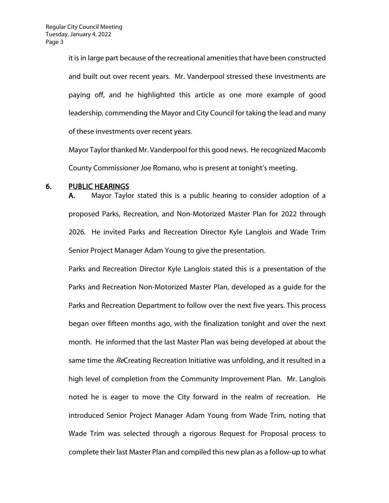it is in large part because of the recreational amenities that have been constructed and built out over recent years. Mr. Vanderpool stressed these investments are paying off, and he highlighted this article as one more example of good leadership, commending the Mayor and City Council for taking the lead and many of these investments over recent years.

Mayor Taylor thanked Mr. Vanderpool for this good news. He recognized Macomb County Commissioner Joe Romano, who is present at tonight's meeting.

#### 6. PUBLIC HEARINGS

A. Mayor Taylor stated this is a public hearing to consider adoption of a proposed Parks, Recreation, and Non-Motorized Master Plan for 2022 through 2026. He invited Parks and Recreation Director Kyle Langlois and Wade Trim Senior Project Manager Adam Young to give the presentation.

Parks and Recreation Director Kyle Langlois stated this is a presentation of the Parks and Recreation Non-Motorized Master Plan, developed as a guide for the Parks and Recreation Department to follow over the next five years. This process began over fifteen months ago, with the finalization tonight and over the next month. He informed that the last Master Plan was being developed at about the same time the ReCreating Recreation Initiative was unfolding, and it resulted in a high level of completion from the Community Improvement Plan. Mr. Langlois noted he is eager to move the City forward in the realm of recreation. He introduced Senior Project Manager Adam Young from Wade Trim, noting that Wade Trim was selected through a rigorous Request for Proposal process to complete their last Master Plan and compiled this new plan as a follow-up to what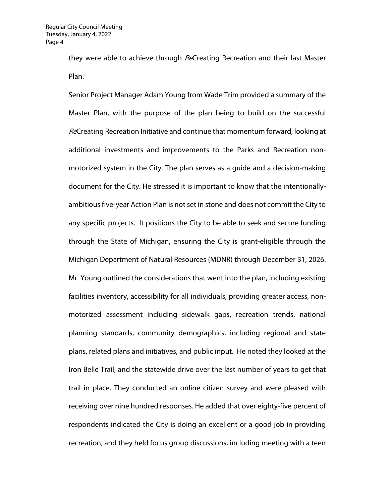they were able to achieve through ReCreating Recreation and their last Master Plan.

Senior Project Manager Adam Young from Wade Trim provided a summary of the Master Plan, with the purpose of the plan being to build on the successful ReCreating Recreation Initiative and continue that momentum forward, looking at additional investments and improvements to the Parks and Recreation nonmotorized system in the City. The plan serves as a guide and a decision-making document for the City. He stressed it is important to know that the intentionallyambitious five-year Action Plan is not set in stone and does not commit the City to any specific projects. It positions the City to be able to seek and secure funding through the State of Michigan, ensuring the City is grant-eligible through the Michigan Department of Natural Resources (MDNR) through December 31, 2026. Mr. Young outlined the considerations that went into the plan, including existing facilities inventory, accessibility for all individuals, providing greater access, nonmotorized assessment including sidewalk gaps, recreation trends, national planning standards, community demographics, including regional and state plans, related plans and initiatives, and public input. He noted they looked at the Iron Belle Trail, and the statewide drive over the last number of years to get that trail in place. They conducted an online citizen survey and were pleased with receiving over nine hundred responses. He added that over eighty-five percent of respondents indicated the City is doing an excellent or a good job in providing recreation, and they held focus group discussions, including meeting with a teen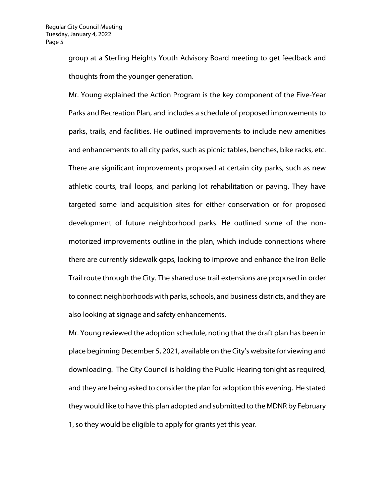group at a Sterling Heights Youth Advisory Board meeting to get feedback and thoughts from the younger generation.

Mr. Young explained the Action Program is the key component of the Five-Year Parks and Recreation Plan, and includes a schedule of proposed improvements to parks, trails, and facilities. He outlined improvements to include new amenities and enhancements to all city parks, such as picnic tables, benches, bike racks, etc. There are significant improvements proposed at certain city parks, such as new athletic courts, trail loops, and parking lot rehabilitation or paving. They have targeted some land acquisition sites for either conservation or for proposed development of future neighborhood parks. He outlined some of the nonmotorized improvements outline in the plan, which include connections where there are currently sidewalk gaps, looking to improve and enhance the Iron Belle Trail route through the City. The shared use trail extensions are proposed in order to connect neighborhoods with parks, schools, and business districts, and they are also looking at signage and safety enhancements.

Mr. Young reviewed the adoption schedule, noting that the draft plan has been in place beginning December 5, 2021, available on the City's website for viewing and downloading. The City Council is holding the Public Hearing tonight as required, and they are being asked to consider the plan for adoption this evening. He stated they would like to have this plan adopted and submitted to the MDNR by February 1, so they would be eligible to apply for grants yet this year.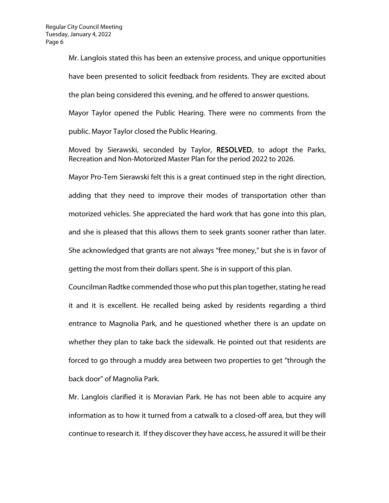Mr. Langlois stated this has been an extensive process, and unique opportunities have been presented to solicit feedback from residents. They are excited about the plan being considered this evening, and he offered to answer questions. Mayor Taylor opened the Public Hearing. There were no comments from the

public. Mayor Taylor closed the Public Hearing.

Moved by Sierawski, seconded by Taylor, RESOLVED, to adopt the Parks, Recreation and Non-Motorized Master Plan for the period 2022 to 2026.

Mayor Pro-Tem Sierawski felt this is a great continued step in the right direction, adding that they need to improve their modes of transportation other than motorized vehicles. She appreciated the hard work that has gone into this plan, and she is pleased that this allows them to seek grants sooner rather than later. She acknowledged that grants are not always "free money," but she is in favor of getting the most from their dollars spent. She is in support of this plan.

Councilman Radtke commended those who put this plan together, stating he read it and it is excellent. He recalled being asked by residents regarding a third entrance to Magnolia Park, and he questioned whether there is an update on whether they plan to take back the sidewalk. He pointed out that residents are forced to go through a muddy area between two properties to get "through the back door" of Magnolia Park.

Mr. Langlois clarified it is Moravian Park. He has not been able to acquire any information as to how it turned from a catwalk to a closed-off area, but they will continue to research it. If they discover they have access, he assured it will be their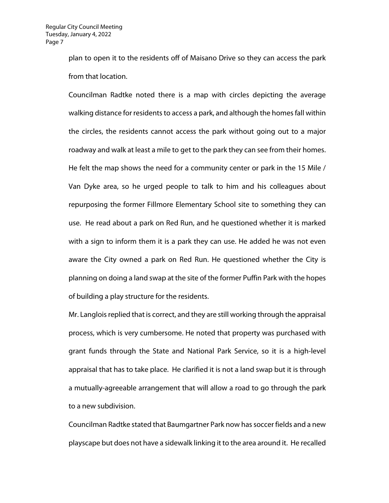plan to open it to the residents off of Maisano Drive so they can access the park from that location.

Councilman Radtke noted there is a map with circles depicting the average walking distance for residents to access a park, and although the homes fall within the circles, the residents cannot access the park without going out to a major roadway and walk at least a mile to get to the park they can see from their homes. He felt the map shows the need for a community center or park in the 15 Mile / Van Dyke area, so he urged people to talk to him and his colleagues about repurposing the former Fillmore Elementary School site to something they can use. He read about a park on Red Run, and he questioned whether it is marked with a sign to inform them it is a park they can use. He added he was not even aware the City owned a park on Red Run. He questioned whether the City is planning on doing a land swap at the site of the former Puffin Park with the hopes of building a play structure for the residents.

Mr. Langlois replied that is correct, and they are still working through the appraisal process, which is very cumbersome. He noted that property was purchased with grant funds through the State and National Park Service, so it is a high-level appraisal that has to take place. He clarified it is not a land swap but it is through a mutually-agreeable arrangement that will allow a road to go through the park to a new subdivision.

Councilman Radtke stated that Baumgartner Park now has soccer fields and a new playscape but does not have a sidewalk linking it to the area around it. He recalled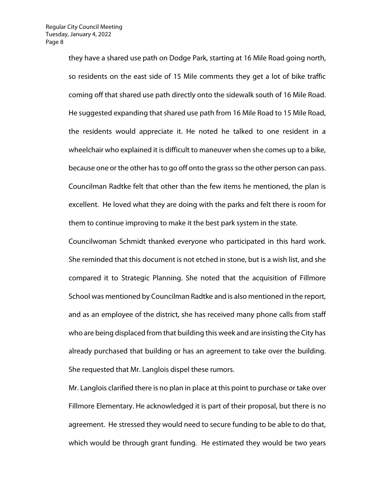they have a shared use path on Dodge Park, starting at 16 Mile Road going north, so residents on the east side of 15 Mile comments they get a lot of bike traffic coming off that shared use path directly onto the sidewalk south of 16 Mile Road. He suggested expanding that shared use path from 16 Mile Road to 15 Mile Road, the residents would appreciate it. He noted he talked to one resident in a wheelchair who explained it is difficult to maneuver when she comes up to a bike, because one or the other has to go off onto the grass so the other person can pass. Councilman Radtke felt that other than the few items he mentioned, the plan is excellent. He loved what they are doing with the parks and felt there is room for them to continue improving to make it the best park system in the state.

Councilwoman Schmidt thanked everyone who participated in this hard work. She reminded that this document is not etched in stone, but is a wish list, and she compared it to Strategic Planning. She noted that the acquisition of Fillmore School was mentioned by Councilman Radtke and is also mentioned in the report, and as an employee of the district, she has received many phone calls from staff who are being displaced from that building this week and are insisting the City has already purchased that building or has an agreement to take over the building. She requested that Mr. Langlois dispel these rumors.

Mr. Langlois clarified there is no plan in place at this point to purchase or take over Fillmore Elementary. He acknowledged it is part of their proposal, but there is no agreement. He stressed they would need to secure funding to be able to do that, which would be through grant funding. He estimated they would be two years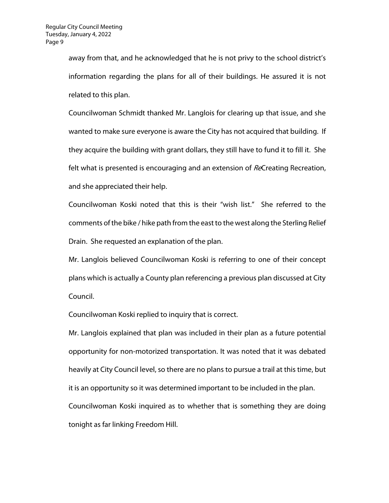away from that, and he acknowledged that he is not privy to the school district's information regarding the plans for all of their buildings. He assured it is not related to this plan.

Councilwoman Schmidt thanked Mr. Langlois for clearing up that issue, and she wanted to make sure everyone is aware the City has not acquired that building. If they acquire the building with grant dollars, they still have to fund it to fill it. She felt what is presented is encouraging and an extension of ReCreating Recreation, and she appreciated their help.

Councilwoman Koski noted that this is their "wish list." She referred to the comments of the bike / hike path from the east to the west along the Sterling Relief Drain. She requested an explanation of the plan.

Mr. Langlois believed Councilwoman Koski is referring to one of their concept plans which is actually a County plan referencing a previous plan discussed at City Council.

Councilwoman Koski replied to inquiry that is correct.

Mr. Langlois explained that plan was included in their plan as a future potential opportunity for non-motorized transportation. It was noted that it was debated heavily at City Council level, so there are no plans to pursue a trail at this time, but it is an opportunity so it was determined important to be included in the plan. Councilwoman Koski inquired as to whether that is something they are doing tonight as far linking Freedom Hill.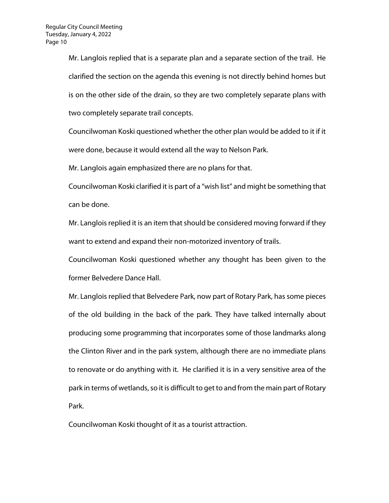Mr. Langlois replied that is a separate plan and a separate section of the trail. He clarified the section on the agenda this evening is not directly behind homes but is on the other side of the drain, so they are two completely separate plans with two completely separate trail concepts.

Councilwoman Koski questioned whether the other plan would be added to it if it were done, because it would extend all the way to Nelson Park.

Mr. Langlois again emphasized there are no plans for that.

Councilwoman Koski clarified it is part of a "wish list" and might be something that can be done.

Mr. Langlois replied it is an item that should be considered moving forward if they want to extend and expand their non-motorized inventory of trails.

Councilwoman Koski questioned whether any thought has been given to the former Belvedere Dance Hall.

Mr. Langlois replied that Belvedere Park, now part of Rotary Park, has some pieces of the old building in the back of the park. They have talked internally about producing some programming that incorporates some of those landmarks along the Clinton River and in the park system, although there are no immediate plans to renovate or do anything with it. He clarified it is in a very sensitive area of the park in terms of wetlands, so it is difficult to get to and from the main part of Rotary Park.

Councilwoman Koski thought of it as a tourist attraction.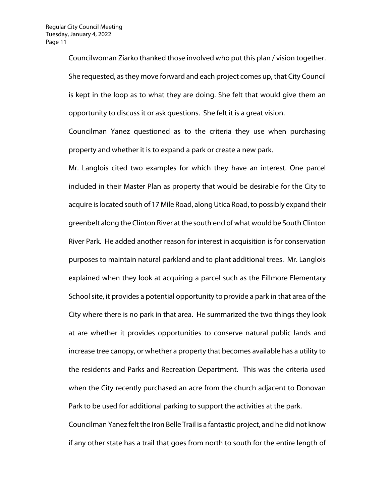Councilwoman Ziarko thanked those involved who put this plan / vision together. She requested, as they move forward and each project comes up, that City Council is kept in the loop as to what they are doing. She felt that would give them an opportunity to discuss it or ask questions. She felt it is a great vision.

Councilman Yanez questioned as to the criteria they use when purchasing property and whether it is to expand a park or create a new park.

Mr. Langlois cited two examples for which they have an interest. One parcel included in their Master Plan as property that would be desirable for the City to acquire is located south of 17 Mile Road, along Utica Road, to possibly expand their greenbelt along the Clinton River at the south end of what would be South Clinton River Park. He added another reason for interest in acquisition is for conservation purposes to maintain natural parkland and to plant additional trees. Mr. Langlois explained when they look at acquiring a parcel such as the Fillmore Elementary School site, it provides a potential opportunity to provide a park in that area of the City where there is no park in that area. He summarized the two things they look at are whether it provides opportunities to conserve natural public lands and increase tree canopy, or whether a property that becomes available has a utility to the residents and Parks and Recreation Department. This was the criteria used when the City recently purchased an acre from the church adjacent to Donovan Park to be used for additional parking to support the activities at the park. Councilman Yanez felt the Iron Belle Trail is a fantastic project, and he did not know

if any other state has a trail that goes from north to south for the entire length of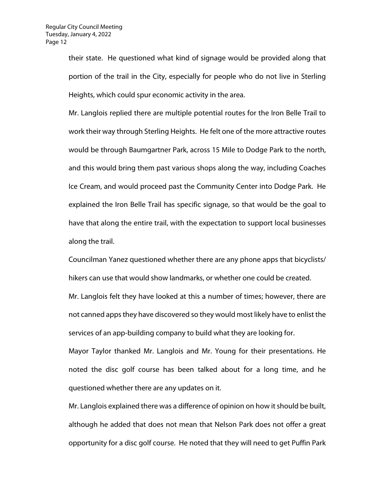their state. He questioned what kind of signage would be provided along that portion of the trail in the City, especially for people who do not live in Sterling Heights, which could spur economic activity in the area.

Mr. Langlois replied there are multiple potential routes for the Iron Belle Trail to work their way through Sterling Heights. He felt one of the more attractive routes would be through Baumgartner Park, across 15 Mile to Dodge Park to the north, and this would bring them past various shops along the way, including Coaches Ice Cream, and would proceed past the Community Center into Dodge Park. He explained the Iron Belle Trail has specific signage, so that would be the goal to have that along the entire trail, with the expectation to support local businesses along the trail.

Councilman Yanez questioned whether there are any phone apps that bicyclists/ hikers can use that would show landmarks, or whether one could be created. Mr. Langlois felt they have looked at this a number of times; however, there are not canned apps they have discovered so they would most likely have to enlist the services of an app-building company to build what they are looking for. Mayor Taylor thanked Mr. Langlois and Mr. Young for their presentations. He noted the disc golf course has been talked about for a long time, and he questioned whether there are any updates on it.

Mr. Langlois explained there was a difference of opinion on how it should be built, although he added that does not mean that Nelson Park does not offer a great opportunity for a disc golf course. He noted that they will need to get Puffin Park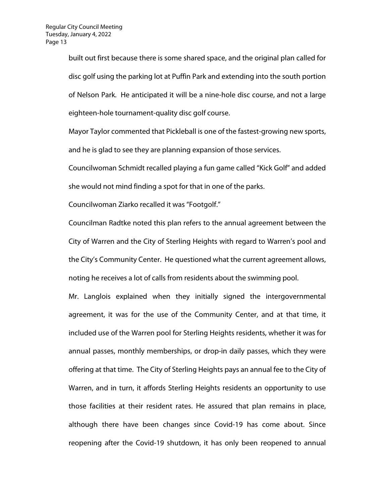built out first because there is some shared space, and the original plan called for disc golf using the parking lot at Puffin Park and extending into the south portion of Nelson Park. He anticipated it will be a nine-hole disc course, and not a large eighteen-hole tournament-quality disc golf course.

Mayor Taylor commented that Pickleball is one of the fastest-growing new sports, and he is glad to see they are planning expansion of those services.

Councilwoman Schmidt recalled playing a fun game called "Kick Golf" and added she would not mind finding a spot for that in one of the parks.

Councilwoman Ziarko recalled it was "Footgolf."

Councilman Radtke noted this plan refers to the annual agreement between the City of Warren and the City of Sterling Heights with regard to Warren's pool and the City's Community Center. He questioned what the current agreement allows, noting he receives a lot of calls from residents about the swimming pool.

Mr. Langlois explained when they initially signed the intergovernmental agreement, it was for the use of the Community Center, and at that time, it included use of the Warren pool for Sterling Heights residents, whether it was for annual passes, monthly memberships, or drop-in daily passes, which they were offering at that time. The City of Sterling Heights pays an annual fee to the City of Warren, and in turn, it affords Sterling Heights residents an opportunity to use those facilities at their resident rates. He assured that plan remains in place, although there have been changes since Covid-19 has come about. Since reopening after the Covid-19 shutdown, it has only been reopened to annual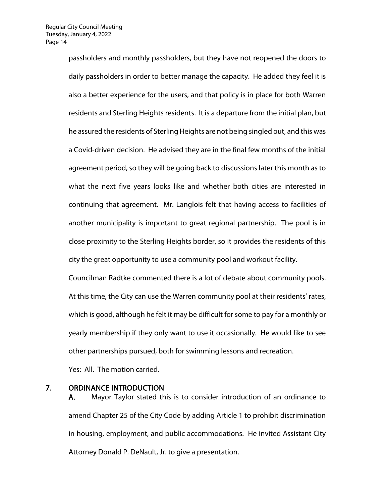passholders and monthly passholders, but they have not reopened the doors to daily passholders in order to better manage the capacity. He added they feel it is also a better experience for the users, and that policy is in place for both Warren residents and Sterling Heights residents. It is a departure from the initial plan, but he assured the residents of Sterling Heights are not being singled out, and this was a Covid-driven decision. He advised they are in the final few months of the initial agreement period, so they will be going back to discussions later this month as to what the next five years looks like and whether both cities are interested in continuing that agreement. Mr. Langlois felt that having access to facilities of another municipality is important to great regional partnership. The pool is in close proximity to the Sterling Heights border, so it provides the residents of this city the great opportunity to use a community pool and workout facility.

Councilman Radtke commented there is a lot of debate about community pools. At this time, the City can use the Warren community pool at their residents' rates, which is good, although he felt it may be difficult for some to pay for a monthly or yearly membership if they only want to use it occasionally. He would like to see other partnerships pursued, both for swimming lessons and recreation.

Yes: All. The motion carried.

#### 7. ORDINANCE INTRODUCTION

A. Mayor Taylor stated this is to consider introduction of an ordinance to amend Chapter 25 of the City Code by adding Article 1 to prohibit discrimination in housing, employment, and public accommodations. He invited Assistant City Attorney Donald P. DeNault, Jr. to give a presentation.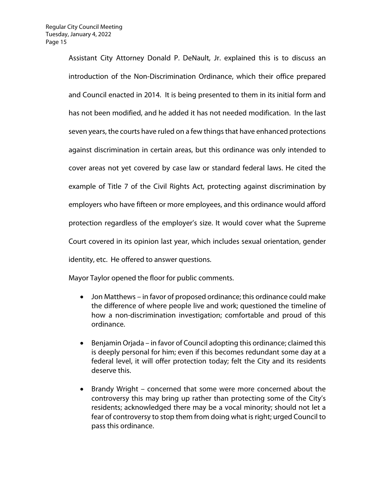Assistant City Attorney Donald P. DeNault, Jr. explained this is to discuss an introduction of the Non-Discrimination Ordinance, which their office prepared and Council enacted in 2014. It is being presented to them in its initial form and has not been modified, and he added it has not needed modification. In the last seven years, the courts have ruled on a few things that have enhanced protections against discrimination in certain areas, but this ordinance was only intended to cover areas not yet covered by case law or standard federal laws. He cited the example of Title 7 of the Civil Rights Act, protecting against discrimination by employers who have fifteen or more employees, and this ordinance would afford protection regardless of the employer's size. It would cover what the Supreme Court covered in its opinion last year, which includes sexual orientation, gender identity, etc. He offered to answer questions.

Mayor Taylor opened the floor for public comments.

- Jon Matthews in favor of proposed ordinance; this ordinance could make the difference of where people live and work; questioned the timeline of how a non-discrimination investigation; comfortable and proud of this ordinance.
- Benjamin Orjada in favor of Council adopting this ordinance; claimed this is deeply personal for him; even if this becomes redundant some day at a federal level, it will offer protection today; felt the City and its residents deserve this.
- Brandy Wright concerned that some were more concerned about the controversy this may bring up rather than protecting some of the City's residents; acknowledged there may be a vocal minority; should not let a fear of controversy to stop them from doing what is right; urged Council to pass this ordinance.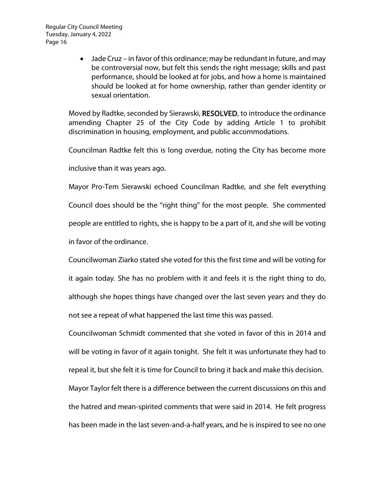• Jade Cruz – in favor of this ordinance; may be redundant in future, and may be controversial now, but felt this sends the right message; skills and past performance, should be looked at for jobs, and how a home is maintained should be looked at for home ownership, rather than gender identity or sexual orientation.

Moved by Radtke, seconded by Sierawski, RESOLVED, to introduce the ordinance amending Chapter 25 of the City Code by adding Article 1 to prohibit discrimination in housing, employment, and public accommodations.

Councilman Radtke felt this is long overdue, noting the City has become more

inclusive than it was years ago.

Mayor Pro-Tem Sierawski echoed Councilman Radtke, and she felt everything Council does should be the "right thing" for the most people. She commented people are entitled to rights, she is happy to be a part of it, and she will be voting in favor of the ordinance.

Councilwoman Ziarko stated she voted for this the first time and will be voting for it again today. She has no problem with it and feels it is the right thing to do, although she hopes things have changed over the last seven years and they do not see a repeat of what happened the last time this was passed.

Councilwoman Schmidt commented that she voted in favor of this in 2014 and will be voting in favor of it again tonight. She felt it was unfortunate they had to repeal it, but she felt it is time for Council to bring it back and make this decision. Mayor Taylor felt there is a difference between the current discussions on this and the hatred and mean-spirited comments that were said in 2014. He felt progress has been made in the last seven-and-a-half years, and he is inspired to see no one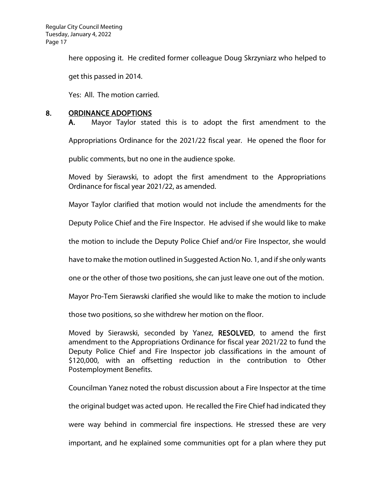here opposing it. He credited former colleague Doug Skrzyniarz who helped to

get this passed in 2014.

Yes: All. The motion carried.

#### 8. ORDINANCE ADOPTIONS

A. Mayor Taylor stated this is to adopt the first amendment to the Appropriations Ordinance for the 2021/22 fiscal year. He opened the floor for public comments, but no one in the audience spoke.

Moved by Sierawski, to adopt the first amendment to the Appropriations Ordinance for fiscal year 2021/22, as amended.

Mayor Taylor clarified that motion would not include the amendments for the

Deputy Police Chief and the Fire Inspector. He advised if she would like to make

the motion to include the Deputy Police Chief and/or Fire Inspector, she would

have to make the motion outlined in Suggested Action No. 1, and if she only wants

one or the other of those two positions, she can just leave one out of the motion.

Mayor Pro-Tem Sierawski clarified she would like to make the motion to include

those two positions, so she withdrew her motion on the floor.

Moved by Sierawski, seconded by Yanez, RESOLVED, to amend the first amendment to the Appropriations Ordinance for fiscal year 2021/22 to fund the Deputy Police Chief and Fire Inspector job classifications in the amount of \$120,000, with an offsetting reduction in the contribution to Other Postemployment Benefits.

Councilman Yanez noted the robust discussion about a Fire Inspector at the time

the original budget was acted upon. He recalled the Fire Chief had indicated they

were way behind in commercial fire inspections. He stressed these are very

important, and he explained some communities opt for a plan where they put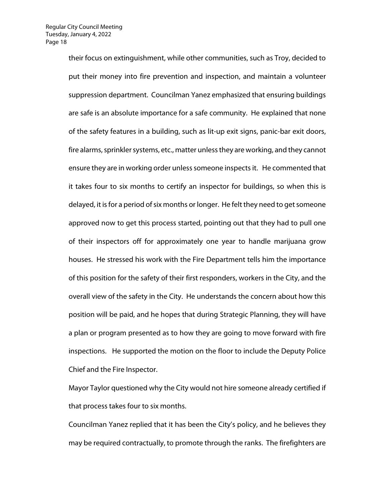their focus on extinguishment, while other communities, such as Troy, decided to put their money into fire prevention and inspection, and maintain a volunteer suppression department. Councilman Yanez emphasized that ensuring buildings are safe is an absolute importance for a safe community. He explained that none of the safety features in a building, such as lit-up exit signs, panic-bar exit doors, fire alarms, sprinkler systems, etc., matter unless they are working, and they cannot ensure they are in working order unless someone inspects it. He commented that it takes four to six months to certify an inspector for buildings, so when this is delayed, it is for a period of six months or longer. He felt they need to get someone approved now to get this process started, pointing out that they had to pull one of their inspectors off for approximately one year to handle marijuana grow houses. He stressed his work with the Fire Department tells him the importance of this position for the safety of their first responders, workers in the City, and the overall view of the safety in the City. He understands the concern about how this position will be paid, and he hopes that during Strategic Planning, they will have a plan or program presented as to how they are going to move forward with fire inspections. He supported the motion on the floor to include the Deputy Police Chief and the Fire Inspector.

Mayor Taylor questioned why the City would not hire someone already certified if that process takes four to six months.

Councilman Yanez replied that it has been the City's policy, and he believes they may be required contractually, to promote through the ranks. The firefighters are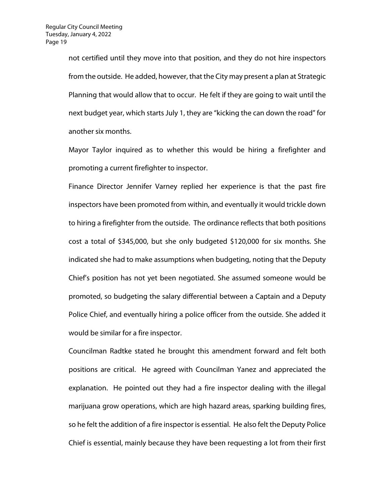not certified until they move into that position, and they do not hire inspectors from the outside. He added, however, that the City may present a plan at Strategic Planning that would allow that to occur. He felt if they are going to wait until the next budget year, which starts July 1, they are "kicking the can down the road" for another six months.

Mayor Taylor inquired as to whether this would be hiring a firefighter and promoting a current firefighter to inspector.

Finance Director Jennifer Varney replied her experience is that the past fire inspectors have been promoted from within, and eventually it would trickle down to hiring a firefighter from the outside. The ordinance reflects that both positions cost a total of \$345,000, but she only budgeted \$120,000 for six months. She indicated she had to make assumptions when budgeting, noting that the Deputy Chief's position has not yet been negotiated. She assumed someone would be promoted, so budgeting the salary differential between a Captain and a Deputy Police Chief, and eventually hiring a police officer from the outside. She added it would be similar for a fire inspector.

Councilman Radtke stated he brought this amendment forward and felt both positions are critical. He agreed with Councilman Yanez and appreciated the explanation. He pointed out they had a fire inspector dealing with the illegal marijuana grow operations, which are high hazard areas, sparking building fires, so he felt the addition of a fire inspector is essential. He also felt the Deputy Police Chief is essential, mainly because they have been requesting a lot from their first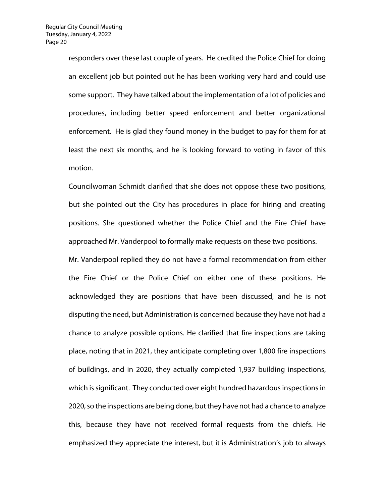responders over these last couple of years. He credited the Police Chief for doing an excellent job but pointed out he has been working very hard and could use some support. They have talked about the implementation of a lot of policies and procedures, including better speed enforcement and better organizational enforcement. He is glad they found money in the budget to pay for them for at least the next six months, and he is looking forward to voting in favor of this motion.

Councilwoman Schmidt clarified that she does not oppose these two positions, but she pointed out the City has procedures in place for hiring and creating positions. She questioned whether the Police Chief and the Fire Chief have approached Mr. Vanderpool to formally make requests on these two positions.

Mr. Vanderpool replied they do not have a formal recommendation from either the Fire Chief or the Police Chief on either one of these positions. He acknowledged they are positions that have been discussed, and he is not disputing the need, but Administration is concerned because they have not had a chance to analyze possible options. He clarified that fire inspections are taking place, noting that in 2021, they anticipate completing over 1,800 fire inspections of buildings, and in 2020, they actually completed 1,937 building inspections, which is significant. They conducted over eight hundred hazardous inspections in 2020, so the inspections are being done, but they have not had a chance to analyze this, because they have not received formal requests from the chiefs. He emphasized they appreciate the interest, but it is Administration's job to always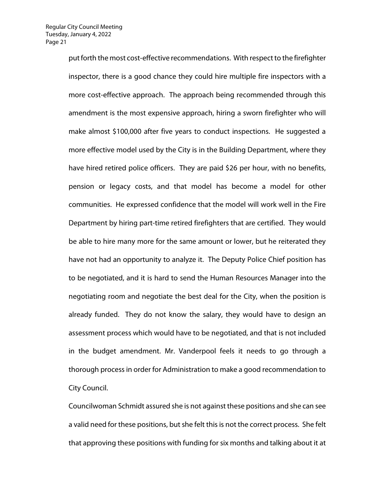put forth the most cost-effective recommendations. With respect to the firefighter inspector, there is a good chance they could hire multiple fire inspectors with a more cost-effective approach. The approach being recommended through this amendment is the most expensive approach, hiring a sworn firefighter who will make almost \$100,000 after five years to conduct inspections. He suggested a more effective model used by the City is in the Building Department, where they have hired retired police officers. They are paid \$26 per hour, with no benefits, pension or legacy costs, and that model has become a model for other communities. He expressed confidence that the model will work well in the Fire Department by hiring part-time retired firefighters that are certified. They would be able to hire many more for the same amount or lower, but he reiterated they have not had an opportunity to analyze it. The Deputy Police Chief position has to be negotiated, and it is hard to send the Human Resources Manager into the negotiating room and negotiate the best deal for the City, when the position is already funded. They do not know the salary, they would have to design an assessment process which would have to be negotiated, and that is not included in the budget amendment. Mr. Vanderpool feels it needs to go through a thorough process in order for Administration to make a good recommendation to City Council.

Councilwoman Schmidt assured she is not against these positions and she can see a valid need for these positions, but she felt this is not the correct process. She felt that approving these positions with funding for six months and talking about it at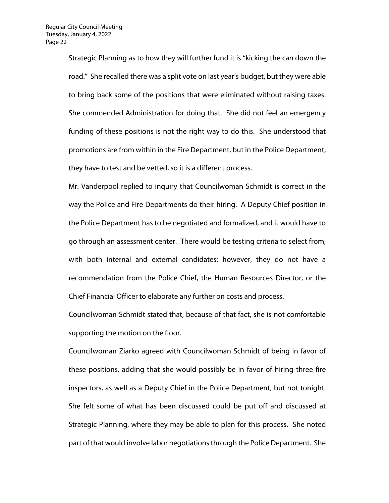Strategic Planning as to how they will further fund it is "kicking the can down the road." She recalled there was a split vote on last year's budget, but they were able to bring back some of the positions that were eliminated without raising taxes. She commended Administration for doing that. She did not feel an emergency funding of these positions is not the right way to do this. She understood that promotions are from within in the Fire Department, but in the Police Department, they have to test and be vetted, so it is a different process.

Mr. Vanderpool replied to inquiry that Councilwoman Schmidt is correct in the way the Police and Fire Departments do their hiring. A Deputy Chief position in the Police Department has to be negotiated and formalized, and it would have to go through an assessment center. There would be testing criteria to select from, with both internal and external candidates; however, they do not have a recommendation from the Police Chief, the Human Resources Director, or the Chief Financial Officer to elaborate any further on costs and process.

Councilwoman Schmidt stated that, because of that fact, she is not comfortable supporting the motion on the floor.

Councilwoman Ziarko agreed with Councilwoman Schmidt of being in favor of these positions, adding that she would possibly be in favor of hiring three fire inspectors, as well as a Deputy Chief in the Police Department, but not tonight. She felt some of what has been discussed could be put off and discussed at Strategic Planning, where they may be able to plan for this process. She noted part of that would involve labor negotiations through the Police Department. She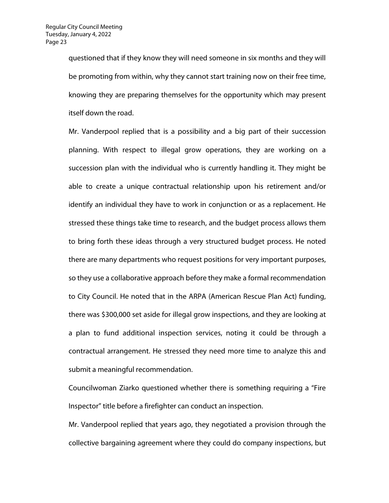questioned that if they know they will need someone in six months and they will be promoting from within, why they cannot start training now on their free time, knowing they are preparing themselves for the opportunity which may present itself down the road.

Mr. Vanderpool replied that is a possibility and a big part of their succession planning. With respect to illegal grow operations, they are working on a succession plan with the individual who is currently handling it. They might be able to create a unique contractual relationship upon his retirement and/or identify an individual they have to work in conjunction or as a replacement. He stressed these things take time to research, and the budget process allows them to bring forth these ideas through a very structured budget process. He noted there are many departments who request positions for very important purposes, so they use a collaborative approach before they make a formal recommendation to City Council. He noted that in the ARPA (American Rescue Plan Act) funding, there was \$300,000 set aside for illegal grow inspections, and they are looking at a plan to fund additional inspection services, noting it could be through a contractual arrangement. He stressed they need more time to analyze this and submit a meaningful recommendation.

Councilwoman Ziarko questioned whether there is something requiring a "Fire Inspector" title before a firefighter can conduct an inspection.

Mr. Vanderpool replied that years ago, they negotiated a provision through the collective bargaining agreement where they could do company inspections, but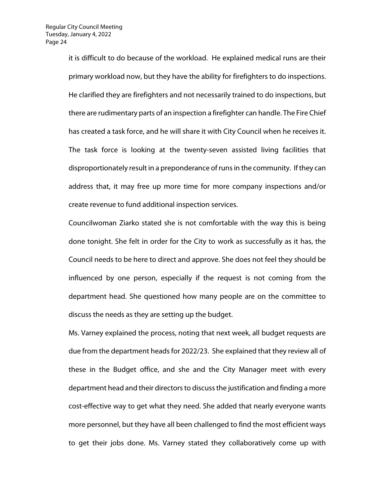it is difficult to do because of the workload. He explained medical runs are their primary workload now, but they have the ability for firefighters to do inspections. He clarified they are firefighters and not necessarily trained to do inspections, but there are rudimentary parts of an inspection a firefighter can handle. The Fire Chief has created a task force, and he will share it with City Council when he receives it. The task force is looking at the twenty-seven assisted living facilities that disproportionately result in a preponderance of runs in the community. If they can address that, it may free up more time for more company inspections and/or create revenue to fund additional inspection services.

Councilwoman Ziarko stated she is not comfortable with the way this is being done tonight. She felt in order for the City to work as successfully as it has, the Council needs to be here to direct and approve. She does not feel they should be influenced by one person, especially if the request is not coming from the department head. She questioned how many people are on the committee to discuss the needs as they are setting up the budget.

Ms. Varney explained the process, noting that next week, all budget requests are due from the department heads for 2022/23. She explained that they review all of these in the Budget office, and she and the City Manager meet with every department head and their directors to discuss the justification and finding a more cost-effective way to get what they need. She added that nearly everyone wants more personnel, but they have all been challenged to find the most efficient ways to get their jobs done. Ms. Varney stated they collaboratively come up with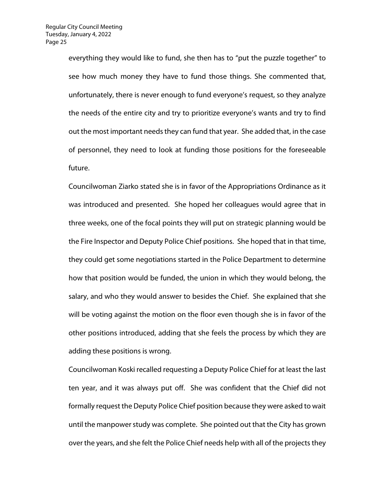everything they would like to fund, she then has to "put the puzzle together" to see how much money they have to fund those things. She commented that, unfortunately, there is never enough to fund everyone's request, so they analyze the needs of the entire city and try to prioritize everyone's wants and try to find out the most important needs they can fund that year. She added that, in the case of personnel, they need to look at funding those positions for the foreseeable future.

Councilwoman Ziarko stated she is in favor of the Appropriations Ordinance as it was introduced and presented. She hoped her colleagues would agree that in three weeks, one of the focal points they will put on strategic planning would be the Fire Inspector and Deputy Police Chief positions. She hoped that in that time, they could get some negotiations started in the Police Department to determine how that position would be funded, the union in which they would belong, the salary, and who they would answer to besides the Chief. She explained that she will be voting against the motion on the floor even though she is in favor of the other positions introduced, adding that she feels the process by which they are adding these positions is wrong.

Councilwoman Koski recalled requesting a Deputy Police Chief for at least the last ten year, and it was always put off. She was confident that the Chief did not formally request the Deputy Police Chief position because they were asked to wait until the manpower study was complete. She pointed out that the City has grown over the years, and she felt the Police Chief needs help with all of the projects they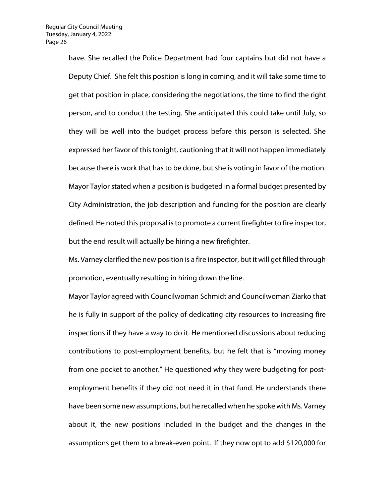have. She recalled the Police Department had four captains but did not have a Deputy Chief. She felt this position is long in coming, and it will take some time to get that position in place, considering the negotiations, the time to find the right person, and to conduct the testing. She anticipated this could take until July, so they will be well into the budget process before this person is selected. She expressed her favor of this tonight, cautioning that it will not happen immediately because there is work that has to be done, but she is voting in favor of the motion. Mayor Taylor stated when a position is budgeted in a formal budget presented by City Administration, the job description and funding for the position are clearly defined. He noted this proposal is to promote a current firefighter to fire inspector, but the end result will actually be hiring a new firefighter.

Ms. Varney clarified the new position is a fire inspector, but it will get filled through promotion, eventually resulting in hiring down the line.

Mayor Taylor agreed with Councilwoman Schmidt and Councilwoman Ziarko that he is fully in support of the policy of dedicating city resources to increasing fire inspections if they have a way to do it. He mentioned discussions about reducing contributions to post-employment benefits, but he felt that is "moving money from one pocket to another." He questioned why they were budgeting for postemployment benefits if they did not need it in that fund. He understands there have been some new assumptions, but he recalled when he spoke with Ms. Varney about it, the new positions included in the budget and the changes in the assumptions get them to a break-even point. If they now opt to add \$120,000 for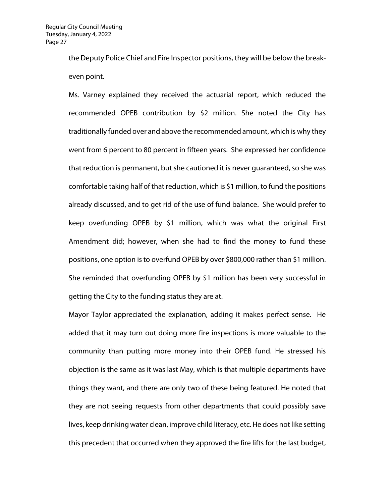the Deputy Police Chief and Fire Inspector positions, they will be below the breakeven point.

Ms. Varney explained they received the actuarial report, which reduced the recommended OPEB contribution by \$2 million. She noted the City has traditionally funded over and above the recommended amount, which is why they went from 6 percent to 80 percent in fifteen years. She expressed her confidence that reduction is permanent, but she cautioned it is never guaranteed, so she was comfortable taking half of that reduction, which is \$1 million, to fund the positions already discussed, and to get rid of the use of fund balance. She would prefer to keep overfunding OPEB by \$1 million, which was what the original First Amendment did; however, when she had to find the money to fund these positions, one option is to overfund OPEB by over \$800,000 rather than \$1 million. She reminded that overfunding OPEB by \$1 million has been very successful in getting the City to the funding status they are at.

Mayor Taylor appreciated the explanation, adding it makes perfect sense. He added that it may turn out doing more fire inspections is more valuable to the community than putting more money into their OPEB fund. He stressed his objection is the same as it was last May, which is that multiple departments have things they want, and there are only two of these being featured. He noted that they are not seeing requests from other departments that could possibly save lives, keep drinking water clean, improve child literacy, etc. He does not like setting this precedent that occurred when they approved the fire lifts for the last budget,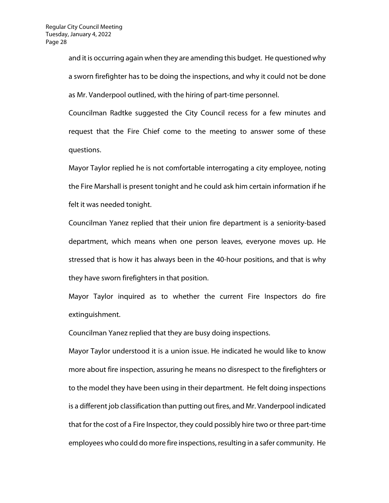and it is occurring again when they are amending this budget. He questioned why a sworn firefighter has to be doing the inspections, and why it could not be done as Mr. Vanderpool outlined, with the hiring of part-time personnel.

Councilman Radtke suggested the City Council recess for a few minutes and request that the Fire Chief come to the meeting to answer some of these questions.

Mayor Taylor replied he is not comfortable interrogating a city employee, noting the Fire Marshall is present tonight and he could ask him certain information if he felt it was needed tonight.

Councilman Yanez replied that their union fire department is a seniority-based department, which means when one person leaves, everyone moves up. He stressed that is how it has always been in the 40-hour positions, and that is why they have sworn firefighters in that position.

Mayor Taylor inquired as to whether the current Fire Inspectors do fire extinguishment.

Councilman Yanez replied that they are busy doing inspections.

Mayor Taylor understood it is a union issue. He indicated he would like to know more about fire inspection, assuring he means no disrespect to the firefighters or to the model they have been using in their department. He felt doing inspections is a different job classification than putting out fires, and Mr. Vanderpool indicated that for the cost of a Fire Inspector, they could possibly hire two or three part-time employees who could do more fire inspections, resulting in a safer community. He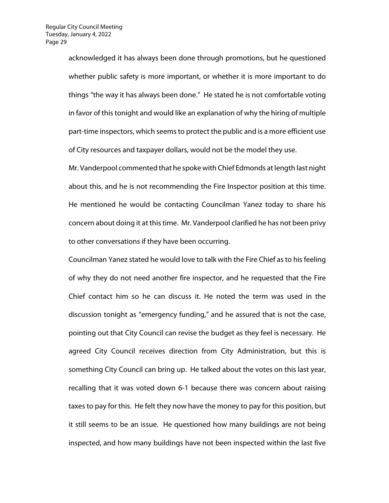acknowledged it has always been done through promotions, but he questioned whether public safety is more important, or whether it is more important to do things "the way it has always been done." He stated he is not comfortable voting in favor of this tonight and would like an explanation of why the hiring of multiple part-time inspectors, which seems to protect the public and is a more efficient use of City resources and taxpayer dollars, would not be the model they use.

Mr. Vanderpool commented that he spoke with Chief Edmonds at length last night about this, and he is not recommending the Fire Inspector position at this time. He mentioned he would be contacting Councilman Yanez today to share his concern about doing it at this time. Mr. Vanderpool clarified he has not been privy to other conversations if they have been occurring.

Councilman Yanez stated he would love to talk with the Fire Chief as to his feeling of why they do not need another fire inspector, and he requested that the Fire Chief contact him so he can discuss it. He noted the term was used in the discussion tonight as "emergency funding," and he assured that is not the case, pointing out that City Council can revise the budget as they feel is necessary. He agreed City Council receives direction from City Administration, but this is something City Council can bring up. He talked about the votes on this last year, recalling that it was voted down 6-1 because there was concern about raising taxes to pay for this. He felt they now have the money to pay for this position, but it still seems to be an issue. He questioned how many buildings are not being inspected, and how many buildings have not been inspected within the last five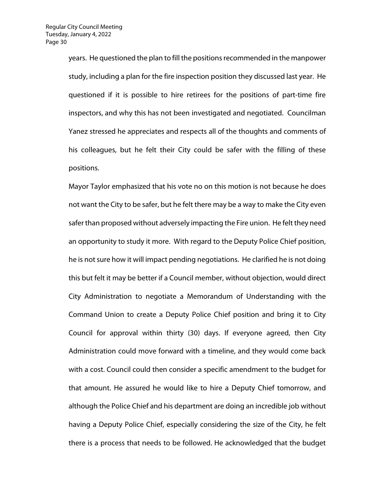years. He questioned the plan to fill the positions recommended in the manpower study, including a plan for the fire inspection position they discussed last year. He questioned if it is possible to hire retirees for the positions of part-time fire inspectors, and why this has not been investigated and negotiated. Councilman Yanez stressed he appreciates and respects all of the thoughts and comments of his colleagues, but he felt their City could be safer with the filling of these positions.

Mayor Taylor emphasized that his vote no on this motion is not because he does not want the City to be safer, but he felt there may be a way to make the City even safer than proposed without adversely impacting the Fire union. He felt they need an opportunity to study it more. With regard to the Deputy Police Chief position, he is not sure how it will impact pending negotiations. He clarified he is not doing this but felt it may be better if a Council member, without objection, would direct City Administration to negotiate a Memorandum of Understanding with the Command Union to create a Deputy Police Chief position and bring it to City Council for approval within thirty (30) days. If everyone agreed, then City Administration could move forward with a timeline, and they would come back with a cost. Council could then consider a specific amendment to the budget for that amount. He assured he would like to hire a Deputy Chief tomorrow, and although the Police Chief and his department are doing an incredible job without having a Deputy Police Chief, especially considering the size of the City, he felt there is a process that needs to be followed. He acknowledged that the budget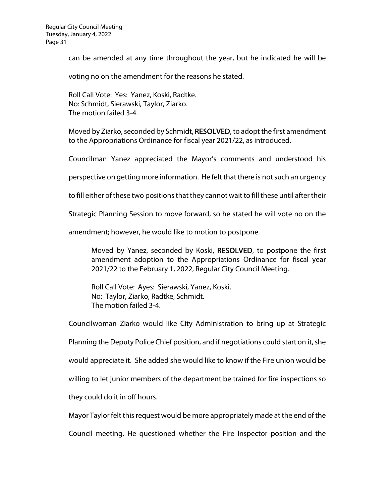can be amended at any time throughout the year, but he indicated he will be

voting no on the amendment for the reasons he stated.

Roll Call Vote: Yes: Yanez, Koski, Radtke. No: Schmidt, Sierawski, Taylor, Ziarko. The motion failed 3-4.

Moved by Ziarko, seconded by Schmidt, RESOLVED, to adopt the first amendment to the Appropriations Ordinance for fiscal year 2021/22, as introduced.

Councilman Yanez appreciated the Mayor's comments and understood his

perspective on getting more information. He felt that there is not such an urgency

to fill either of these two positions that they cannot wait to fill these until after their

Strategic Planning Session to move forward, so he stated he will vote no on the

amendment; however, he would like to motion to postpone.

Moved by Yanez, seconded by Koski, RESOLVED, to postpone the first amendment adoption to the Appropriations Ordinance for fiscal year 2021/22 to the February 1, 2022, Regular City Council Meeting.

Roll Call Vote: Ayes: Sierawski, Yanez, Koski. No: Taylor, Ziarko, Radtke, Schmidt. The motion failed 3-4.

Councilwoman Ziarko would like City Administration to bring up at Strategic Planning the Deputy Police Chief position, and if negotiations could start on it, she would appreciate it. She added she would like to know if the Fire union would be willing to let junior members of the department be trained for fire inspections so they could do it in off hours.

Mayor Taylor felt this request would be more appropriately made at the end of the

Council meeting. He questioned whether the Fire Inspector position and the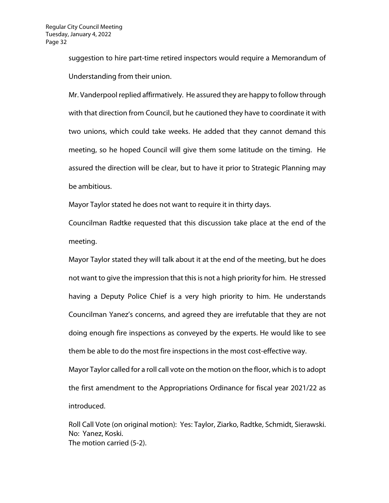suggestion to hire part-time retired inspectors would require a Memorandum of Understanding from their union.

Mr. Vanderpool replied affirmatively. He assured they are happy to follow through with that direction from Council, but he cautioned they have to coordinate it with two unions, which could take weeks. He added that they cannot demand this meeting, so he hoped Council will give them some latitude on the timing. He assured the direction will be clear, but to have it prior to Strategic Planning may be ambitious.

Mayor Taylor stated he does not want to require it in thirty days.

Councilman Radtke requested that this discussion take place at the end of the meeting.

Mayor Taylor stated they will talk about it at the end of the meeting, but he does not want to give the impression that this is not a high priority for him. He stressed having a Deputy Police Chief is a very high priority to him. He understands Councilman Yanez's concerns, and agreed they are irrefutable that they are not doing enough fire inspections as conveyed by the experts. He would like to see them be able to do the most fire inspections in the most cost-effective way.

Mayor Taylor called for a roll call vote on the motion on the floor, which is to adopt the first amendment to the Appropriations Ordinance for fiscal year 2021/22 as introduced.

Roll Call Vote (on original motion): Yes: Taylor, Ziarko, Radtke, Schmidt, Sierawski. No: Yanez, Koski. The motion carried (5-2).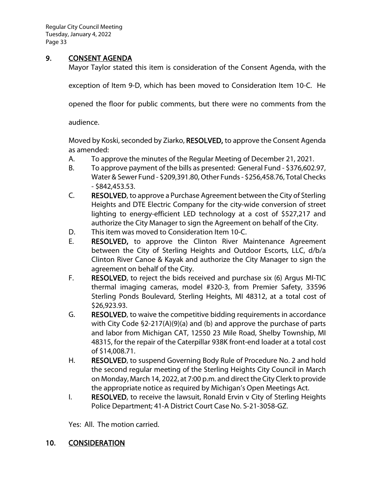Regular City Council Meeting Tuesday, January 4, 2022 Page 33

## 9. **CONSENT AGENDA**

Mayor Taylor stated this item is consideration of the Consent Agenda, with the

exception of Item 9-D, which has been moved to Consideration Item 10-C. He

opened the floor for public comments, but there were no comments from the

audience.

Moved by Koski, seconded by Ziarko, RESOLVED, to approve the Consent Agenda as amended:

- A. To approve the minutes of the Regular Meeting of December 21, 2021.
- B. To approve payment of the bills as presented: General Fund \$376,602.97, Water & Sewer Fund - \$209,391.80, Other Funds - \$256,458.76, Total Checks - \$842,453.53.
- C. RESOLVED, to approve a Purchase Agreement between the City of Sterling Heights and DTE Electric Company for the city-wide conversion of street lighting to energy-efficient LED technology at a cost of \$527,217 and authorize the City Manager to sign the Agreement on behalf of the City.
- D. This item was moved to Consideration Item 10-C.
- E. RESOLVED, to approve the Clinton River Maintenance Agreement between the City of Sterling Heights and Outdoor Escorts, LLC, d/b/a Clinton River Canoe & Kayak and authorize the City Manager to sign the agreement on behalf of the City.
- F. RESOLVED, to reject the bids received and purchase six (6) Argus MI-TIC thermal imaging cameras, model #320-3, from Premier Safety, 33596 Sterling Ponds Boulevard, Sterling Heights, MI 48312, at a total cost of \$26,923.93.
- G. RESOLVED, to waive the competitive bidding requirements in accordance with City Code §2-217(A)(9)(a) and (b) and approve the purchase of parts and labor from Michigan CAT, 12550 23 Mile Road, Shelby Township, MI 48315, for the repair of the Caterpillar 938K front-end loader at a total cost of \$14,008.71.
- H. RESOLVED, to suspend Governing Body Rule of Procedure No. 2 and hold the second regular meeting of the Sterling Heights City Council in March on Monday, March 14, 2022, at 7:00 p.m. and direct the City Clerk to provide the appropriate notice as required by Michigan's Open Meetings Act.
- I. RESOLVED, to receive the lawsuit, Ronald Ervin v City of Sterling Heights Police Department; 41-A District Court Case No. S-21-3058-GZ.

Yes: All. The motion carried.

## 10. CONSIDERATION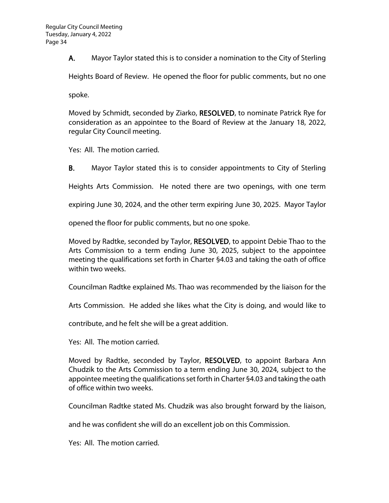A. Mayor Taylor stated this is to consider a nomination to the City of Sterling

Heights Board of Review. He opened the floor for public comments, but no one

spoke.

Moved by Schmidt, seconded by Ziarko, RESOLVED, to nominate Patrick Rye for consideration as an appointee to the Board of Review at the January 18, 2022, regular City Council meeting.

Yes: All. The motion carried.

B. Mayor Taylor stated this is to consider appointments to City of Sterling

Heights Arts Commission. He noted there are two openings, with one term

expiring June 30, 2024, and the other term expiring June 30, 2025. Mayor Taylor

opened the floor for public comments, but no one spoke.

Moved by Radtke, seconded by Taylor, RESOLVED, to appoint Debie Thao to the Arts Commission to a term ending June 30, 2025, subject to the appointee meeting the qualifications set forth in Charter §4.03 and taking the oath of office within two weeks.

Councilman Radtke explained Ms. Thao was recommended by the liaison for the

Arts Commission. He added she likes what the City is doing, and would like to

contribute, and he felt she will be a great addition.

Yes: All. The motion carried.

Moved by Radtke, seconded by Taylor, RESOLVED, to appoint Barbara Ann Chudzik to the Arts Commission to a term ending June 30, 2024, subject to the appointee meeting the qualifications set forth in Charter §4.03 and taking the oath of office within two weeks.

Councilman Radtke stated Ms. Chudzik was also brought forward by the liaison,

and he was confident she will do an excellent job on this Commission.

Yes: All. The motion carried.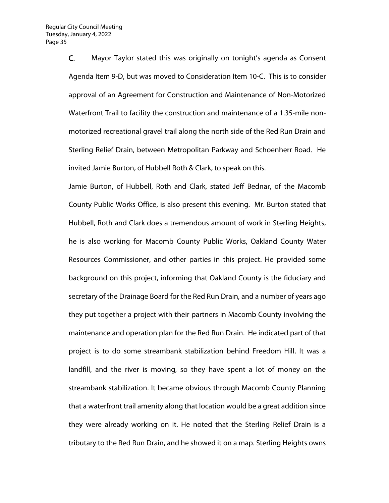C. Mayor Taylor stated this was originally on tonight's agenda as Consent Agenda Item 9-D, but was moved to Consideration Item 10-C. This is to consider approval of an Agreement for Construction and Maintenance of Non-Motorized Waterfront Trail to facility the construction and maintenance of a 1.35-mile nonmotorized recreational gravel trail along the north side of the Red Run Drain and Sterling Relief Drain, between Metropolitan Parkway and Schoenherr Road. He invited Jamie Burton, of Hubbell Roth & Clark, to speak on this.

Jamie Burton, of Hubbell, Roth and Clark, stated Jeff Bednar, of the Macomb County Public Works Office, is also present this evening. Mr. Burton stated that Hubbell, Roth and Clark does a tremendous amount of work in Sterling Heights, he is also working for Macomb County Public Works, Oakland County Water Resources Commissioner, and other parties in this project. He provided some background on this project, informing that Oakland County is the fiduciary and secretary of the Drainage Board for the Red Run Drain, and a number of years ago they put together a project with their partners in Macomb County involving the maintenance and operation plan for the Red Run Drain. He indicated part of that project is to do some streambank stabilization behind Freedom Hill. It was a landfill, and the river is moving, so they have spent a lot of money on the streambank stabilization. It became obvious through Macomb County Planning that a waterfront trail amenity along that location would be a great addition since they were already working on it. He noted that the Sterling Relief Drain is a tributary to the Red Run Drain, and he showed it on a map. Sterling Heights owns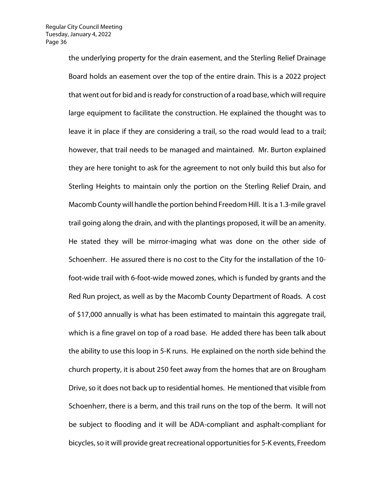the underlying property for the drain easement, and the Sterling Relief Drainage Board holds an easement over the top of the entire drain. This is a 2022 project that went out for bid and is ready for construction of a road base, which will require large equipment to facilitate the construction. He explained the thought was to leave it in place if they are considering a trail, so the road would lead to a trail; however, that trail needs to be managed and maintained. Mr. Burton explained they are here tonight to ask for the agreement to not only build this but also for Sterling Heights to maintain only the portion on the Sterling Relief Drain, and Macomb County will handle the portion behind Freedom Hill. It is a 1.3-mile gravel trail going along the drain, and with the plantings proposed, it will be an amenity. He stated they will be mirror-imaging what was done on the other side of Schoenherr. He assured there is no cost to the City for the installation of the 10 foot-wide trail with 6-foot-wide mowed zones, which is funded by grants and the Red Run project, as well as by the Macomb County Department of Roads. A cost of \$17,000 annually is what has been estimated to maintain this aggregate trail, which is a fine gravel on top of a road base. He added there has been talk about the ability to use this loop in 5-K runs. He explained on the north side behind the church property, it is about 250 feet away from the homes that are on Brougham Drive, so it does not back up to residential homes. He mentioned that visible from Schoenherr, there is a berm, and this trail runs on the top of the berm. It will not be subject to flooding and it will be ADA-compliant and asphalt-compliant for bicycles, so it will provide great recreational opportunities for 5-K events, Freedom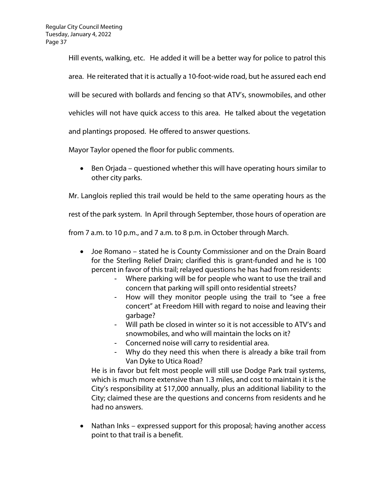Hill events, walking, etc. He added it will be a better way for police to patrol this area. He reiterated that it is actually a 10-foot-wide road, but he assured each end will be secured with bollards and fencing so that ATV's, snowmobiles, and other vehicles will not have quick access to this area. He talked about the vegetation and plantings proposed. He offered to answer questions.

Mayor Taylor opened the floor for public comments.

• Ben Orjada – questioned whether this will have operating hours similar to other city parks.

Mr. Langlois replied this trail would be held to the same operating hours as the

rest of the park system. In April through September, those hours of operation are

from 7 a.m. to 10 p.m., and 7 a.m. to 8 p.m. in October through March.

- Joe Romano stated he is County Commissioner and on the Drain Board for the Sterling Relief Drain; clarified this is grant-funded and he is 100 percent in favor of this trail; relayed questions he has had from residents:
	- Where parking will be for people who want to use the trail and concern that parking will spill onto residential streets?
	- How will they monitor people using the trail to "see a free concert" at Freedom Hill with regard to noise and leaving their garbage?
	- Will path be closed in winter so it is not accessible to ATV's and snowmobiles, and who will maintain the locks on it?
	- Concerned noise will carry to residential area.
	- Why do they need this when there is already a bike trail from Van Dyke to Utica Road?

He is in favor but felt most people will still use Dodge Park trail systems, which is much more extensive than 1.3 miles, and cost to maintain it is the City's responsibility at \$17,000 annually, plus an additional liability to the City; claimed these are the questions and concerns from residents and he had no answers.

• Nathan Inks – expressed support for this proposal; having another access point to that trail is a benefit.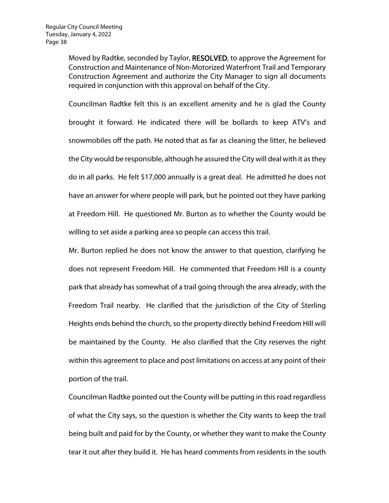Moved by Radtke, seconded by Taylor, RESOLVED, to approve the Agreement for Construction and Maintenance of Non-Motorized Waterfront Trail and Temporary Construction Agreement and authorize the City Manager to sign all documents required in conjunction with this approval on behalf of the City.

Councilman Radtke felt this is an excellent amenity and he is glad the County brought it forward. He indicated there will be bollards to keep ATV's and snowmobiles off the path. He noted that as far as cleaning the litter, he believed the City would be responsible, although he assured the City will deal with it as they do in all parks. He felt \$17,000 annually is a great deal. He admitted he does not have an answer for where people will park, but he pointed out they have parking at Freedom Hill. He questioned Mr. Burton as to whether the County would be willing to set aside a parking area so people can access this trail.

Mr. Burton replied he does not know the answer to that question, clarifying he does not represent Freedom Hill. He commented that Freedom Hill is a county park that already has somewhat of a trail going through the area already, with the Freedom Trail nearby. He clarified that the jurisdiction of the City of Sterling Heights ends behind the church, so the property directly behind Freedom Hill will be maintained by the County. He also clarified that the City reserves the right within this agreement to place and post limitations on access at any point of their portion of the trail.

Councilman Radtke pointed out the County will be putting in this road regardless of what the City says, so the question is whether the City wants to keep the trail being built and paid for by the County, or whether they want to make the County tear it out after they build it. He has heard comments from residents in the south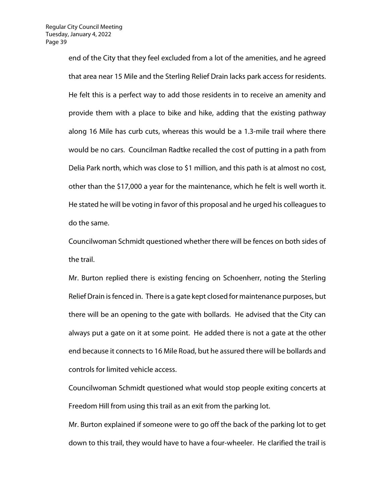end of the City that they feel excluded from a lot of the amenities, and he agreed that area near 15 Mile and the Sterling Relief Drain lacks park access for residents. He felt this is a perfect way to add those residents in to receive an amenity and provide them with a place to bike and hike, adding that the existing pathway along 16 Mile has curb cuts, whereas this would be a 1.3-mile trail where there would be no cars. Councilman Radtke recalled the cost of putting in a path from Delia Park north, which was close to \$1 million, and this path is at almost no cost, other than the \$17,000 a year for the maintenance, which he felt is well worth it. He stated he will be voting in favor of this proposal and he urged his colleagues to do the same.

Councilwoman Schmidt questioned whether there will be fences on both sides of the trail.

Mr. Burton replied there is existing fencing on Schoenherr, noting the Sterling Relief Drain is fenced in. There is a gate kept closed for maintenance purposes, but there will be an opening to the gate with bollards. He advised that the City can always put a gate on it at some point. He added there is not a gate at the other end because it connects to 16 Mile Road, but he assured there will be bollards and controls for limited vehicle access.

Councilwoman Schmidt questioned what would stop people exiting concerts at Freedom Hill from using this trail as an exit from the parking lot.

Mr. Burton explained if someone were to go off the back of the parking lot to get down to this trail, they would have to have a four-wheeler. He clarified the trail is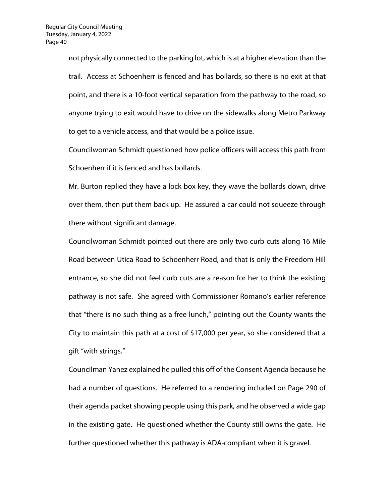not physically connected to the parking lot, which is at a higher elevation than the trail. Access at Schoenherr is fenced and has bollards, so there is no exit at that point, and there is a 10-foot vertical separation from the pathway to the road, so anyone trying to exit would have to drive on the sidewalks along Metro Parkway to get to a vehicle access, and that would be a police issue.

Councilwoman Schmidt questioned how police officers will access this path from Schoenherr if it is fenced and has bollards.

Mr. Burton replied they have a lock box key, they wave the bollards down, drive over them, then put them back up. He assured a car could not squeeze through there without significant damage.

Councilwoman Schmidt pointed out there are only two curb cuts along 16 Mile Road between Utica Road to Schoenherr Road, and that is only the Freedom Hill entrance, so she did not feel curb cuts are a reason for her to think the existing pathway is not safe. She agreed with Commissioner Romano's earlier reference that "there is no such thing as a free lunch," pointing out the County wants the City to maintain this path at a cost of \$17,000 per year, so she considered that a gift "with strings."

Councilman Yanez explained he pulled this off of the Consent Agenda because he had a number of questions. He referred to a rendering included on Page 290 of their agenda packet showing people using this park, and he observed a wide gap in the existing gate. He questioned whether the County still owns the gate. He further questioned whether this pathway is ADA-compliant when it is gravel.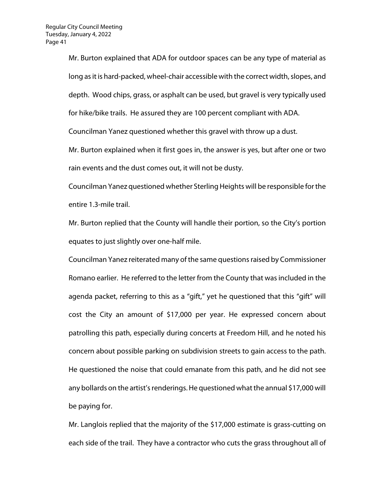Mr. Burton explained that ADA for outdoor spaces can be any type of material as long as it is hard-packed, wheel-chair accessible with the correct width, slopes, and depth. Wood chips, grass, or asphalt can be used, but gravel is very typically used for hike/bike trails. He assured they are 100 percent compliant with ADA. Councilman Yanez questioned whether this gravel with throw up a dust.

Mr. Burton explained when it first goes in, the answer is yes, but after one or two rain events and the dust comes out, it will not be dusty.

Councilman Yanez questioned whether Sterling Heights will be responsible for the entire 1.3-mile trail.

Mr. Burton replied that the County will handle their portion, so the City's portion equates to just slightly over one-half mile.

Councilman Yanez reiterated many of the same questions raised by Commissioner Romano earlier. He referred to the letter from the County that was included in the agenda packet, referring to this as a "gift," yet he questioned that this "gift" will cost the City an amount of \$17,000 per year. He expressed concern about patrolling this path, especially during concerts at Freedom Hill, and he noted his concern about possible parking on subdivision streets to gain access to the path. He questioned the noise that could emanate from this path, and he did not see any bollards on the artist's renderings. He questioned what the annual \$17,000 will be paying for.

Mr. Langlois replied that the majority of the \$17,000 estimate is grass-cutting on each side of the trail. They have a contractor who cuts the grass throughout all of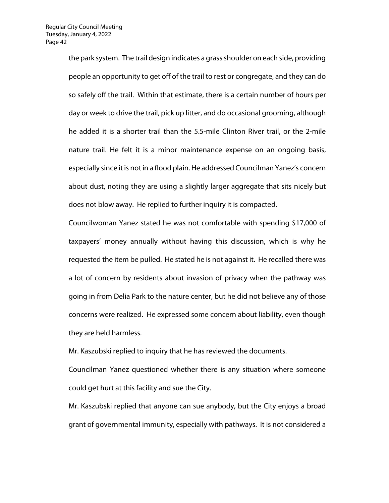the park system. The trail design indicates a grass shoulder on each side, providing people an opportunity to get off of the trail to rest or congregate, and they can do so safely off the trail. Within that estimate, there is a certain number of hours per day or week to drive the trail, pick up litter, and do occasional grooming, although he added it is a shorter trail than the 5.5-mile Clinton River trail, or the 2-mile nature trail. He felt it is a minor maintenance expense on an ongoing basis, especially since it is not in a flood plain. He addressed Councilman Yanez's concern about dust, noting they are using a slightly larger aggregate that sits nicely but does not blow away. He replied to further inquiry it is compacted.

Councilwoman Yanez stated he was not comfortable with spending \$17,000 of taxpayers' money annually without having this discussion, which is why he requested the item be pulled. He stated he is not against it. He recalled there was a lot of concern by residents about invasion of privacy when the pathway was going in from Delia Park to the nature center, but he did not believe any of those concerns were realized. He expressed some concern about liability, even though they are held harmless.

Mr. Kaszubski replied to inquiry that he has reviewed the documents.

Councilman Yanez questioned whether there is any situation where someone could get hurt at this facility and sue the City.

Mr. Kaszubski replied that anyone can sue anybody, but the City enjoys a broad grant of governmental immunity, especially with pathways. It is not considered a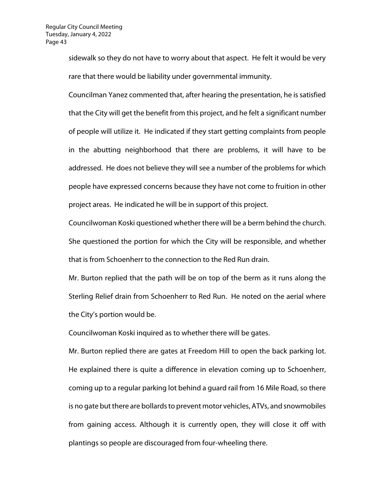sidewalk so they do not have to worry about that aspect. He felt it would be very rare that there would be liability under governmental immunity.

Councilman Yanez commented that, after hearing the presentation, he is satisfied that the City will get the benefit from this project, and he felt a significant number of people will utilize it. He indicated if they start getting complaints from people in the abutting neighborhood that there are problems, it will have to be addressed. He does not believe they will see a number of the problems for which people have expressed concerns because they have not come to fruition in other project areas. He indicated he will be in support of this project.

Councilwoman Koski questioned whether there will be a berm behind the church. She questioned the portion for which the City will be responsible, and whether that is from Schoenherr to the connection to the Red Run drain.

Mr. Burton replied that the path will be on top of the berm as it runs along the Sterling Relief drain from Schoenherr to Red Run. He noted on the aerial where the City's portion would be.

Councilwoman Koski inquired as to whether there will be gates.

Mr. Burton replied there are gates at Freedom Hill to open the back parking lot. He explained there is quite a difference in elevation coming up to Schoenherr, coming up to a regular parking lot behind a guard rail from 16 Mile Road, so there is no gate but there are bollards to prevent motor vehicles, ATVs, and snowmobiles from gaining access. Although it is currently open, they will close it off with plantings so people are discouraged from four-wheeling there.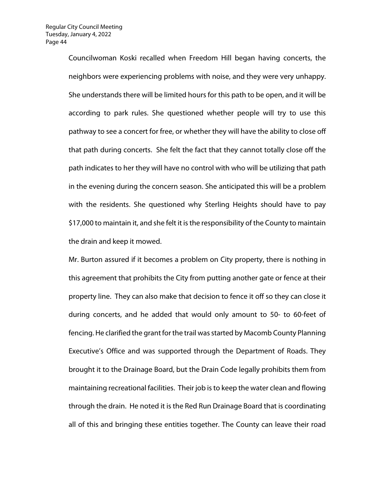Councilwoman Koski recalled when Freedom Hill began having concerts, the neighbors were experiencing problems with noise, and they were very unhappy. She understands there will be limited hours for this path to be open, and it will be according to park rules. She questioned whether people will try to use this pathway to see a concert for free, or whether they will have the ability to close off that path during concerts. She felt the fact that they cannot totally close off the path indicates to her they will have no control with who will be utilizing that path in the evening during the concern season. She anticipated this will be a problem with the residents. She questioned why Sterling Heights should have to pay \$17,000 to maintain it, and she felt it is the responsibility of the County to maintain the drain and keep it mowed.

Mr. Burton assured if it becomes a problem on City property, there is nothing in this agreement that prohibits the City from putting another gate or fence at their property line. They can also make that decision to fence it off so they can close it during concerts, and he added that would only amount to 50- to 60-feet of fencing. He clarified the grant for the trail was started by Macomb County Planning Executive's Office and was supported through the Department of Roads. They brought it to the Drainage Board, but the Drain Code legally prohibits them from maintaining recreational facilities. Their job is to keep the water clean and flowing through the drain. He noted it is the Red Run Drainage Board that is coordinating all of this and bringing these entities together. The County can leave their road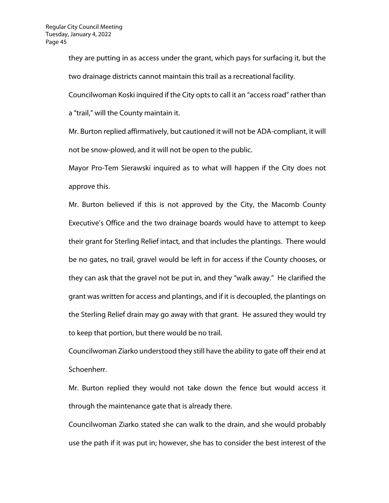they are putting in as access under the grant, which pays for surfacing it, but the two drainage districts cannot maintain this trail as a recreational facility.

Councilwoman Koski inquired if the City opts to call it an "access road" rather than

a "trail," will the County maintain it.

Mr. Burton replied affirmatively, but cautioned it will not be ADA-compliant, it will not be snow-plowed, and it will not be open to the public.

Mayor Pro-Tem Sierawski inquired as to what will happen if the City does not approve this.

Mr. Burton believed if this is not approved by the City, the Macomb County Executive's Office and the two drainage boards would have to attempt to keep their grant for Sterling Relief intact, and that includes the plantings. There would be no gates, no trail, gravel would be left in for access if the County chooses, or they can ask that the gravel not be put in, and they "walk away." He clarified the grant was written for access and plantings, and if it is decoupled, the plantings on the Sterling Relief drain may go away with that grant. He assured they would try to keep that portion, but there would be no trail.

Councilwoman Ziarko understood they still have the ability to gate off their end at Schoenherr.

Mr. Burton replied they would not take down the fence but would access it through the maintenance gate that is already there.

Councilwoman Ziarko stated she can walk to the drain, and she would probably use the path if it was put in; however, she has to consider the best interest of the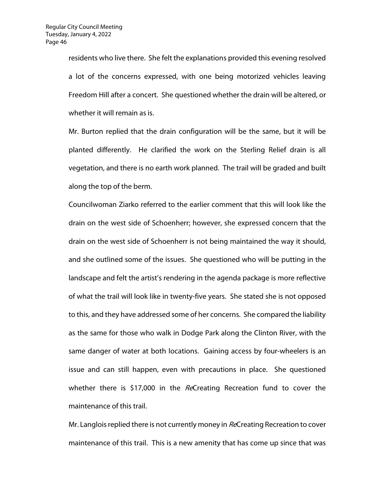residents who live there. She felt the explanations provided this evening resolved a lot of the concerns expressed, with one being motorized vehicles leaving Freedom Hill after a concert. She questioned whether the drain will be altered, or whether it will remain as is.

Mr. Burton replied that the drain configuration will be the same, but it will be planted differently. He clarified the work on the Sterling Relief drain is all vegetation, and there is no earth work planned. The trail will be graded and built along the top of the berm.

Councilwoman Ziarko referred to the earlier comment that this will look like the drain on the west side of Schoenherr; however, she expressed concern that the drain on the west side of Schoenherr is not being maintained the way it should, and she outlined some of the issues. She questioned who will be putting in the landscape and felt the artist's rendering in the agenda package is more reflective of what the trail will look like in twenty-five years. She stated she is not opposed to this, and they have addressed some of her concerns. She compared the liability as the same for those who walk in Dodge Park along the Clinton River, with the same danger of water at both locations. Gaining access by four-wheelers is an issue and can still happen, even with precautions in place. She questioned whether there is \$17,000 in the ReCreating Recreation fund to cover the maintenance of this trail.

Mr. Langlois replied there is not currently money in ReCreating Recreation to cover maintenance of this trail. This is a new amenity that has come up since that was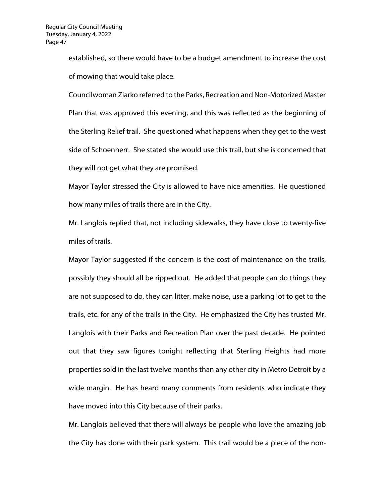established, so there would have to be a budget amendment to increase the cost of mowing that would take place.

Councilwoman Ziarko referred to the Parks, Recreation and Non-Motorized Master Plan that was approved this evening, and this was reflected as the beginning of the Sterling Relief trail. She questioned what happens when they get to the west side of Schoenherr. She stated she would use this trail, but she is concerned that they will not get what they are promised.

Mayor Taylor stressed the City is allowed to have nice amenities. He questioned how many miles of trails there are in the City.

Mr. Langlois replied that, not including sidewalks, they have close to twenty-five miles of trails.

Mayor Taylor suggested if the concern is the cost of maintenance on the trails, possibly they should all be ripped out. He added that people can do things they are not supposed to do, they can litter, make noise, use a parking lot to get to the trails, etc. for any of the trails in the City. He emphasized the City has trusted Mr. Langlois with their Parks and Recreation Plan over the past decade. He pointed out that they saw figures tonight reflecting that Sterling Heights had more properties sold in the last twelve months than any other city in Metro Detroit by a wide margin. He has heard many comments from residents who indicate they have moved into this City because of their parks.

Mr. Langlois believed that there will always be people who love the amazing job the City has done with their park system. This trail would be a piece of the non-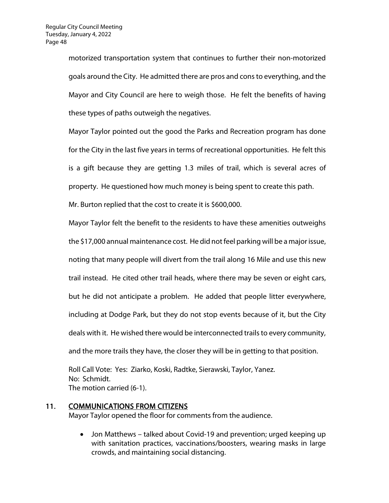motorized transportation system that continues to further their non-motorized goals around the City. He admitted there are pros and cons to everything, and the Mayor and City Council are here to weigh those. He felt the benefits of having these types of paths outweigh the negatives.

Mayor Taylor pointed out the good the Parks and Recreation program has done for the City in the last five years in terms of recreational opportunities. He felt this is a gift because they are getting 1.3 miles of trail, which is several acres of property. He questioned how much money is being spent to create this path.

Mr. Burton replied that the cost to create it is \$600,000.

Mayor Taylor felt the benefit to the residents to have these amenities outweighs the \$17,000 annual maintenance cost. He did not feel parking will be a major issue, noting that many people will divert from the trail along 16 Mile and use this new trail instead. He cited other trail heads, where there may be seven or eight cars, but he did not anticipate a problem. He added that people litter everywhere, including at Dodge Park, but they do not stop events because of it, but the City deals with it. He wished there would be interconnected trails to every community, and the more trails they have, the closer they will be in getting to that position.

Roll Call Vote: Yes: Ziarko, Koski, Radtke, Sierawski, Taylor, Yanez. No: Schmidt. The motion carried (6-1).

11. COMMUNICATIONS FROM CITIZENS

Mayor Taylor opened the floor for comments from the audience.

• Jon Matthews – talked about Covid-19 and prevention; urged keeping up with sanitation practices, vaccinations/boosters, wearing masks in large crowds, and maintaining social distancing.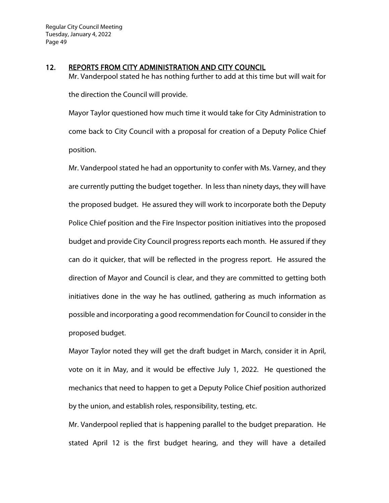#### 12. REPORTS FROM CITY ADMINISTRATION AND CITY COUNCIL

Mr. Vanderpool stated he has nothing further to add at this time but will wait for the direction the Council will provide.

Mayor Taylor questioned how much time it would take for City Administration to come back to City Council with a proposal for creation of a Deputy Police Chief position.

Mr. Vanderpool stated he had an opportunity to confer with Ms. Varney, and they are currently putting the budget together. In less than ninety days, they will have the proposed budget. He assured they will work to incorporate both the Deputy Police Chief position and the Fire Inspector position initiatives into the proposed budget and provide City Council progress reports each month. He assured if they can do it quicker, that will be reflected in the progress report. He assured the direction of Mayor and Council is clear, and they are committed to getting both initiatives done in the way he has outlined, gathering as much information as possible and incorporating a good recommendation for Council to consider in the proposed budget.

Mayor Taylor noted they will get the draft budget in March, consider it in April, vote on it in May, and it would be effective July 1, 2022. He questioned the mechanics that need to happen to get a Deputy Police Chief position authorized by the union, and establish roles, responsibility, testing, etc.

Mr. Vanderpool replied that is happening parallel to the budget preparation. He stated April 12 is the first budget hearing, and they will have a detailed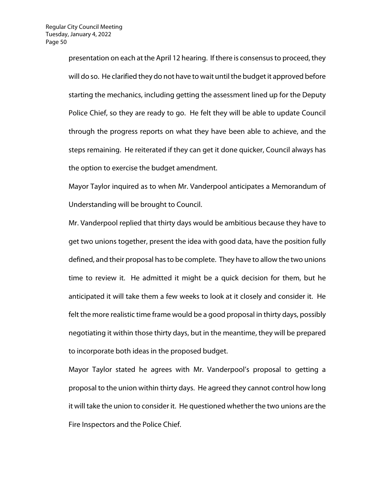presentation on each at the April 12 hearing. If there is consensus to proceed, they will do so. He clarified they do not have to wait until the budget it approved before starting the mechanics, including getting the assessment lined up for the Deputy Police Chief, so they are ready to go. He felt they will be able to update Council through the progress reports on what they have been able to achieve, and the steps remaining. He reiterated if they can get it done quicker, Council always has the option to exercise the budget amendment.

Mayor Taylor inquired as to when Mr. Vanderpool anticipates a Memorandum of Understanding will be brought to Council.

Mr. Vanderpool replied that thirty days would be ambitious because they have to get two unions together, present the idea with good data, have the position fully defined, and their proposal has to be complete. They have to allow the two unions time to review it. He admitted it might be a quick decision for them, but he anticipated it will take them a few weeks to look at it closely and consider it. He felt the more realistic time frame would be a good proposal in thirty days, possibly negotiating it within those thirty days, but in the meantime, they will be prepared to incorporate both ideas in the proposed budget.

Mayor Taylor stated he agrees with Mr. Vanderpool's proposal to getting a proposal to the union within thirty days. He agreed they cannot control how long it will take the union to consider it. He questioned whether the two unions are the Fire Inspectors and the Police Chief.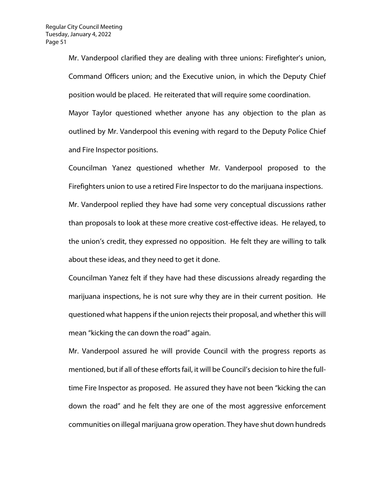Mr. Vanderpool clarified they are dealing with three unions: Firefighter's union, Command Officers union; and the Executive union, in which the Deputy Chief position would be placed. He reiterated that will require some coordination. Mayor Taylor questioned whether anyone has any objection to the plan as outlined by Mr. Vanderpool this evening with regard to the Deputy Police Chief and Fire Inspector positions.

Councilman Yanez questioned whether Mr. Vanderpool proposed to the Firefighters union to use a retired Fire Inspector to do the marijuana inspections. Mr. Vanderpool replied they have had some very conceptual discussions rather than proposals to look at these more creative cost-effective ideas. He relayed, to the union's credit, they expressed no opposition. He felt they are willing to talk about these ideas, and they need to get it done.

Councilman Yanez felt if they have had these discussions already regarding the marijuana inspections, he is not sure why they are in their current position. He questioned what happens if the union rejects their proposal, and whether this will mean "kicking the can down the road" again.

Mr. Vanderpool assured he will provide Council with the progress reports as mentioned, but if all of these efforts fail, it will be Council's decision to hire the fulltime Fire Inspector as proposed. He assured they have not been "kicking the can down the road" and he felt they are one of the most aggressive enforcement communities on illegal marijuana grow operation. They have shut down hundreds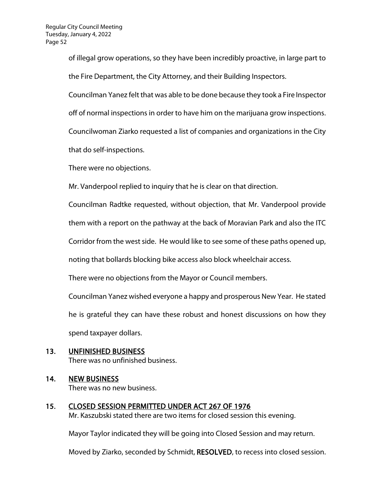of illegal grow operations, so they have been incredibly proactive, in large part to the Fire Department, the City Attorney, and their Building Inspectors.

Councilman Yanez felt that was able to be done because they took a Fire Inspector

off of normal inspections in order to have him on the marijuana grow inspections.

Councilwoman Ziarko requested a list of companies and organizations in the City

that do self-inspections.

There were no objections.

Mr. Vanderpool replied to inquiry that he is clear on that direction.

Councilman Radtke requested, without objection, that Mr. Vanderpool provide

them with a report on the pathway at the back of Moravian Park and also the ITC

Corridor from the west side. He would like to see some of these paths opened up,

noting that bollards blocking bike access also block wheelchair access.

There were no objections from the Mayor or Council members.

Councilman Yanez wished everyone a happy and prosperous New Year. He stated he is grateful they can have these robust and honest discussions on how they spend taxpayer dollars.

13. UNFINISHED BUSINESS There was no unfinished business.

# 14. NEW BUSINESS

There was no new business.

15. CLOSED SESSION PERMITTED UNDER ACT 267 OF 1976 Mr. Kaszubski stated there are two items for closed session this evening.

Mayor Taylor indicated they will be going into Closed Session and may return.

Moved by Ziarko, seconded by Schmidt, RESOLVED, to recess into closed session.